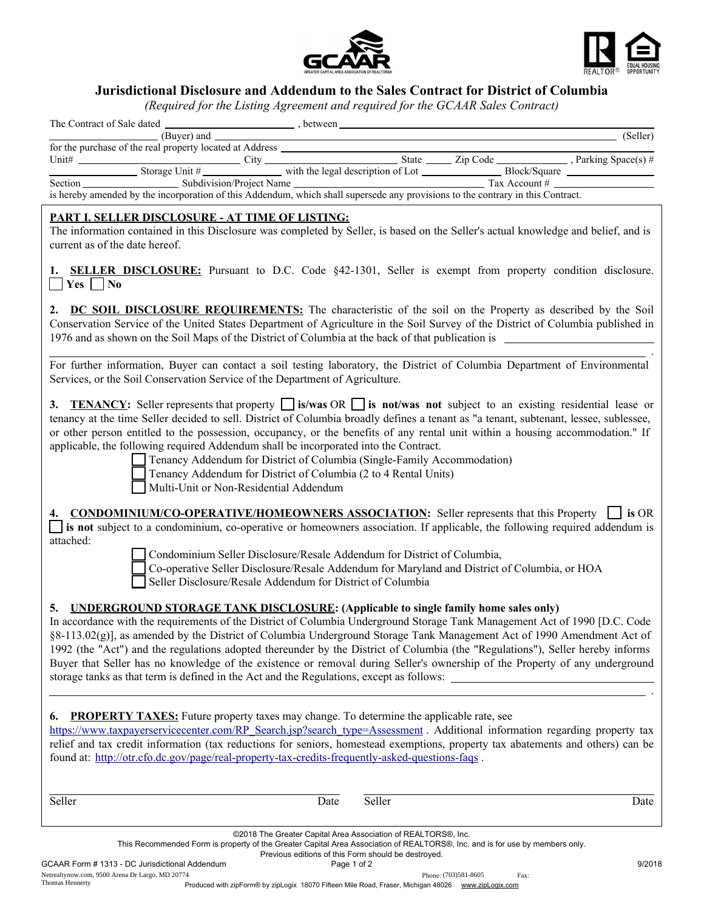



## Jurisdictional Disclosure and Addendum to the Sales Contract for District of Columbia

*(Required for the Listing Agreement and required for the GCAAR Sales Contract)*

|                                                                                                                                                                                                                                                                                                                                                                                                                                                                                                                                                                                                                                                                                                            | an eagor and Bashing right comein and required for the Script Sancs                                                                                                                                                                   |        |      |
|------------------------------------------------------------------------------------------------------------------------------------------------------------------------------------------------------------------------------------------------------------------------------------------------------------------------------------------------------------------------------------------------------------------------------------------------------------------------------------------------------------------------------------------------------------------------------------------------------------------------------------------------------------------------------------------------------------|---------------------------------------------------------------------------------------------------------------------------------------------------------------------------------------------------------------------------------------|--------|------|
|                                                                                                                                                                                                                                                                                                                                                                                                                                                                                                                                                                                                                                                                                                            |                                                                                                                                                                                                                                       |        |      |
|                                                                                                                                                                                                                                                                                                                                                                                                                                                                                                                                                                                                                                                                                                            |                                                                                                                                                                                                                                       |        |      |
|                                                                                                                                                                                                                                                                                                                                                                                                                                                                                                                                                                                                                                                                                                            |                                                                                                                                                                                                                                       |        |      |
| Section Section Subdivision/Project Name Tax Account # Tax Account # Tax Account # Tax Account # Tax Account # Tax Account # Tax Account # Tax Account # Tax Account # Tax Account # Tax Account # Tax Account # Tax Account #                                                                                                                                                                                                                                                                                                                                                                                                                                                                             |                                                                                                                                                                                                                                       |        |      |
| <b>PART I. SELLER DISCLOSURE - AT TIME OF LISTING:</b>                                                                                                                                                                                                                                                                                                                                                                                                                                                                                                                                                                                                                                                     |                                                                                                                                                                                                                                       |        |      |
| The information contained in this Disclosure was completed by Seller, is based on the Seller's actual knowledge and belief, and is<br>current as of the date hereof.                                                                                                                                                                                                                                                                                                                                                                                                                                                                                                                                       |                                                                                                                                                                                                                                       |        |      |
| 1. <b>SELLER DISCLOSURE:</b> Pursuant to D.C. Code §42-1301, Seller is exempt from property condition disclosure.<br>$\vert$ Yes $\vert$ No                                                                                                                                                                                                                                                                                                                                                                                                                                                                                                                                                                |                                                                                                                                                                                                                                       |        |      |
| 2. DC SOIL DISCLOSURE REQUIREMENTS: The characteristic of the soil on the Property as described by the Soil<br>Conservation Service of the United States Department of Agriculture in the Soil Survey of the District of Columbia published in<br>1976 and as shown on the Soil Maps of the District of Columbia at the back of that publication is                                                                                                                                                                                                                                                                                                                                                        |                                                                                                                                                                                                                                       |        |      |
| For further information, Buyer can contact a soil testing laboratory, the District of Columbia Department of Environmental<br>Services, or the Soil Conservation Service of the Department of Agriculture.                                                                                                                                                                                                                                                                                                                                                                                                                                                                                                 |                                                                                                                                                                                                                                       |        |      |
| 3. TENANCY: Seller represents that property $\Box$ is/was OR $\Box$ is not/was not subject to an existing residential lease or<br>tenancy at the time Seller decided to sell. District of Columbia broadly defines a tenant as "a tenant, subtenant, lessee, sublessee,<br>or other person entitled to the possession, occupancy, or the benefits of any rental unit within a housing accommodation." If<br>applicable, the following required Addendum shall be incorporated into the Contract.                                                                                                                                                                                                           | Tenancy Addendum for District of Columbia (Single-Family Accommodation)<br>Tenancy Addendum for District of Columbia (2 to 4 Rental Units)<br>Multi-Unit or Non-Residential Addendum                                                  |        |      |
| 4. CONDOMINIUM/CO-OPERATIVE/HOMEOWNERS ASSOCIATION: Seller represents that this Property   is OR<br>is not subject to a condominium, co-operative or homeowners association. If applicable, the following required addendum is                                                                                                                                                                                                                                                                                                                                                                                                                                                                             |                                                                                                                                                                                                                                       |        |      |
| attached:                                                                                                                                                                                                                                                                                                                                                                                                                                                                                                                                                                                                                                                                                                  | Condominium Seller Disclosure/Resale Addendum for District of Columbia,<br>Co-operative Seller Disclosure/Resale Addendum for Maryland and District of Columbia, or HOA<br>Seller Disclosure/Resale Addendum for District of Columbia |        |      |
| 5. UNDERGROUND STORAGE TANK DISCLOSURE: (Applicable to single family home sales only)<br>In accordance with the requirements of the District of Columbia Underground Storage Tank Management Act of 1990 [D.C. Code<br>§8-113.02(g)], as amended by the District of Columbia Underground Storage Tank Management Act of 1990 Amendment Act of<br>1992 (the "Act") and the regulations adopted thereunder by the District of Columbia (the "Regulations"), Seller hereby informs<br>Buyer that Seller has no knowledge of the existence or removal during Seller's ownership of the Property of any underground<br>storage tanks as that term is defined in the Act and the Regulations, except as follows: |                                                                                                                                                                                                                                       |        |      |
| <b>PROPERTY TAXES:</b> Future property taxes may change. To determine the applicable rate, see<br>6.<br>https://www.taxpayerservicecenter.com/RP_Search.jsp?search_type=Assessment. Additional information regarding property tax<br>relief and tax credit information (tax reductions for seniors, homestead exemptions, property tax abatements and others) can be<br>found at: http://otr.cfo.dc.gov/page/real-property-tax-credits-frequently-asked-questions-faqs.                                                                                                                                                                                                                                    |                                                                                                                                                                                                                                       |        |      |
| Seller                                                                                                                                                                                                                                                                                                                                                                                                                                                                                                                                                                                                                                                                                                     | Date                                                                                                                                                                                                                                  | Seller | Date |

| ©2018 The Greater Capital Area Association of REALTORS®, Inc.<br>This Recommended Form is property of the Greater Capital Area Association of REALTORS®, Inc. and is for use by members only. |  |
|-----------------------------------------------------------------------------------------------------------------------------------------------------------------------------------------------|--|
| Previous editions of this Form should be destroyed.                                                                                                                                           |  |

Netrealtynow.com, 9500 Arena Dr Largo, MD 20774 Thomas Hennerty